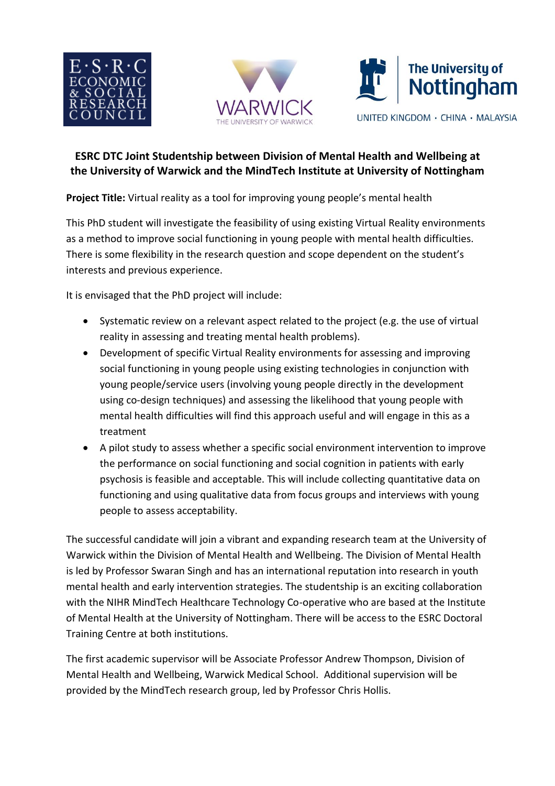





## **ESRC DTC Joint Studentship between Division of Mental Health and Wellbeing at the University of Warwick and the MindTech Institute at University of Nottingham**

**Project Title:** Virtual reality as a tool for improving young people's mental health

This PhD student will investigate the feasibility of using existing Virtual Reality environments as a method to improve social functioning in young people with mental health difficulties. There is some flexibility in the research question and scope dependent on the student's interests and previous experience.

It is envisaged that the PhD project will include:

- Systematic review on a relevant aspect related to the project (e.g. the use of virtual reality in assessing and treating mental health problems).
- Development of specific Virtual Reality environments for assessing and improving social functioning in young people using existing technologies in conjunction with young people/service users (involving young people directly in the development using co-design techniques) and assessing the likelihood that young people with mental health difficulties will find this approach useful and will engage in this as a treatment
- A pilot study to assess whether a specific social environment intervention to improve the performance on social functioning and social cognition in patients with early psychosis is feasible and acceptable. This will include collecting quantitative data on functioning and using qualitative data from focus groups and interviews with young people to assess acceptability.

The successful candidate will join a vibrant and expanding research team at the University of Warwick within the Division of Mental Health and Wellbeing. The Division of Mental Health is led by Professor Swaran Singh and has an international reputation into research in youth mental health and early intervention strategies. The studentship is an exciting collaboration with the NIHR MindTech Healthcare Technology Co-operative who are based at the Institute of Mental Health at the University of Nottingham. There will be access to the ESRC Doctoral Training Centre at both institutions.

The first academic supervisor will be Associate Professor Andrew Thompson, Division of Mental Health and Wellbeing, Warwick Medical School. Additional supervision will be provided by the MindTech research group, led by Professor Chris Hollis.